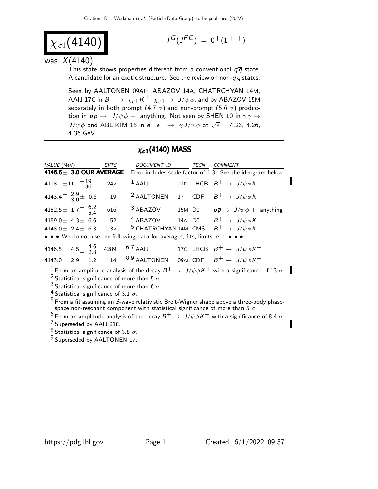$$
\chi_{c1}(4140)
$$

$$
I^G(J^{PC})\ =\ 0^+(1^{++})
$$

was  $X(4140)$ 

This state shows properties different from a conventional  $q\bar{q}$  state. A candidate for an exotic structure. See the review on non- $q\overline{q}$  states.

Seen by AALTONEN 09AH, ABAZOV 14A, CHATRCHYAN 14M, AAIJ 17C in  $B^+ \to \chi_{c1} K^+$ ,  $\chi_{c1} \to J/\psi \phi$ , and by ABAZOV 15M separately in both prompt  $(4.7\;\sigma)$  and non-prompt  $(5.6\;\sigma)$  production in  $p \overline{p} \rightarrow J/\psi \phi + \overline{p}$  anything. Not seen by SHEN 10 in  $\gamma \gamma \rightarrow$  $J/\psi \phi$  and ABLIKIM 15 in  $e^+e^- \rightarrow \gamma J/\psi \phi$  at  $\sqrt{s} = 4.23, 4.26,$ 4.36 GeV.

#### $\chi_{c1}(4140)$  MASS

| VALUE (MeV)<br>4146.5± 3.0 OUR AVERAGE                                                                                                                                                                                                                                                                                                                                                                                                                                                                   | EVTS       | DOCUMENT ID |  | TECN | COMMENT<br>Error includes scale factor of 1.3. See the ideogram below.                                                            |
|----------------------------------------------------------------------------------------------------------------------------------------------------------------------------------------------------------------------------------------------------------------------------------------------------------------------------------------------------------------------------------------------------------------------------------------------------------------------------------------------------------|------------|-------------|--|------|-----------------------------------------------------------------------------------------------------------------------------------|
| 4118 $\pm 11$ $^{+19}_{-36}$                                                                                                                                                                                                                                                                                                                                                                                                                                                                             | 24k        | $1$ AAIJ    |  |      | 21E LHCB $B^+ \rightarrow J/\psi \phi K^+$                                                                                        |
| 4143.4 $\frac{1}{3}$ $\frac{2.9}{0}$ $\pm$ 0.6                                                                                                                                                                                                                                                                                                                                                                                                                                                           | 19         |             |  |      | <sup>2</sup> AALTONEN 17 CDF $B^+ \rightarrow J/\psi \phi K^+$                                                                    |
| 4152.5 $\pm$ 1.7 $^{+}$ 6.2                                                                                                                                                                                                                                                                                                                                                                                                                                                                              | 616        | $3$ ABAZOV  |  |      | 15M D0 $p\overline{p} \rightarrow J/\psi \phi +$ anything                                                                         |
| 4159.0 $\pm$ 4.3 $\pm$ 6.6<br>4148.0 $\pm$ 2.4 $\pm$ 6.3<br>• • • We do not use the following data for averages, fits, limits, etc. • • •                                                                                                                                                                                                                                                                                                                                                                | 52<br>0.3k |             |  |      | <sup>4</sup> ABAZOV 14A D0 $B^+ \rightarrow J/\psi \phi K^+$<br><sup>5</sup> CHATRCHYAN 14M CMS $B^+ \rightarrow J/\psi \phi K^+$ |
| 4146.5 ± 4.5 $\frac{4.5}{2.8}$ 4289 6,7 AAIJ 17C LHCB $B^+ \rightarrow J/\psi \phi K^+$<br>4143.0 ± 2.9 ± 1.2 14 $^{8,9}$ AALTONEN 09AH CDF $B^+ \rightarrow J/\psi \phi K^+$                                                                                                                                                                                                                                                                                                                            |            |             |  |      |                                                                                                                                   |
| $^{-1}$ From an amplitude analysis of the decay $B^+ \to \ J/\psi \phi K^+$ with a significance of 13 $\sigma$ .<br><sup>2</sup> Statistical significance of more than 5 $\sigma$ .<br><sup>3</sup> Statistical significance of more than 6 $\sigma$ .<br><sup>4</sup> Statistical significance of 3.1 $\sigma$ .<br>$5$ From a fit assuming an S-wave relativistic Breit-Wigner shape above a three-body phase-<br>space non-resonant component with statistical significance of more than 5 $\sigma$ . |            |             |  |      |                                                                                                                                   |
| <sup>6</sup> From an amplitude analysis of the decay $B^+ \to J/\psi \phi K^+$ with a significance of 8.4 $\sigma$ .<br><sup>7</sup> Superseded by AAIJ 21E.                                                                                                                                                                                                                                                                                                                                             |            |             |  |      |                                                                                                                                   |

 $^8$  Statistical significance of 3.8  $\sigma$ .

<sup>9</sup> Superseded by AALTONEN 17.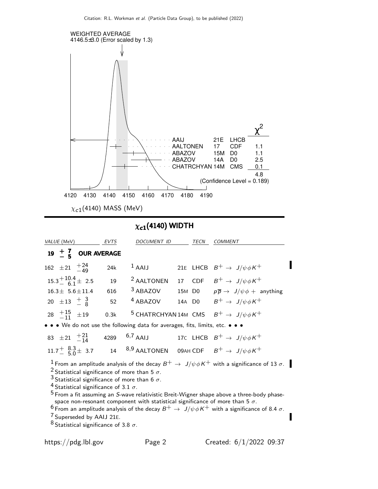

## $\chi_{c1}(4140)$  WIDTH

| VALUE (MeV)                                                                                                                                                                                                                                                                                                                                                                                                                                                                                                                                                                                                                                                                                                                                | <b>EVTS</b> | DOCUMENT ID           |  | TECN | <b>COMMENT</b>                                                    |  |
|--------------------------------------------------------------------------------------------------------------------------------------------------------------------------------------------------------------------------------------------------------------------------------------------------------------------------------------------------------------------------------------------------------------------------------------------------------------------------------------------------------------------------------------------------------------------------------------------------------------------------------------------------------------------------------------------------------------------------------------------|-------------|-----------------------|--|------|-------------------------------------------------------------------|--|
| 19 $\pm$ $\frac{7}{5}$ OUR AVERAGE                                                                                                                                                                                                                                                                                                                                                                                                                                                                                                                                                                                                                                                                                                         |             |                       |  |      |                                                                   |  |
| 162 $\pm 21 + \frac{24}{49}$                                                                                                                                                                                                                                                                                                                                                                                                                                                                                                                                                                                                                                                                                                               | 24k         | $1$ AAIJ              |  |      | 21E LHCB $B^+ \rightarrow J/\psi \phi K^+$                        |  |
| $15.3^{+10.4}_{-6.1} \pm 2.5$                                                                                                                                                                                                                                                                                                                                                                                                                                                                                                                                                                                                                                                                                                              | 19          | <sup>2</sup> AALTONEN |  |      | 17 CDF $B^+ \rightarrow J/\psi \phi K^+$                          |  |
| $16.3 \pm 5.6 \pm 11.4$                                                                                                                                                                                                                                                                                                                                                                                                                                                                                                                                                                                                                                                                                                                    | 616         | <sup>3</sup> ABAZOV   |  |      | 15M D0 $p\overline{p} \rightarrow J/\psi \phi +$ anything         |  |
| 20 $\pm 13 + \frac{3}{8}$                                                                                                                                                                                                                                                                                                                                                                                                                                                                                                                                                                                                                                                                                                                  | 52          | <sup>4</sup> ABAZOV   |  |      | 14A DO $B^+ \rightarrow J/\psi \phi K^+$                          |  |
| 28 $+15$ $\pm 19$                                                                                                                                                                                                                                                                                                                                                                                                                                                                                                                                                                                                                                                                                                                          | 0.3k        |                       |  |      | <sup>5</sup> CHATRCHYAN 14M CMS $B^+ \rightarrow J/\psi \phi K^+$ |  |
| • • • We do not use the following data for averages, fits, limits, etc. • • •                                                                                                                                                                                                                                                                                                                                                                                                                                                                                                                                                                                                                                                              |             |                       |  |      |                                                                   |  |
| 83 ± 21 $^{+21}_{-14}$ 4289 6,7 AAIJ 17C LHCB $B^+ \to J/\psi \phi K^+$                                                                                                                                                                                                                                                                                                                                                                                                                                                                                                                                                                                                                                                                    |             |                       |  |      |                                                                   |  |
| 11.7 <sup>+</sup> $^{8.3}_{-}$ 5.0 <sup>+</sup> 3.7 14 <sup>8,9</sup> AALTONEN 09AH CDF $B^+ \rightarrow J/\psi \phi K^+$                                                                                                                                                                                                                                                                                                                                                                                                                                                                                                                                                                                                                  |             |                       |  |      |                                                                   |  |
| $^1$ From an amplitude analysis of the decay $B^+ \to \ J/\psi \phi K^+$ with a significance of 13 $\sigma$ . $\blacksquare$<br><sup>2</sup> Statistical significance of more than 5 $\sigma$ .<br><sup>3</sup> Statistical significance of more than 6 $\sigma$ .<br><sup>4</sup> Statistical significance of 3.1 $\sigma$ .<br>$5$ From a fit assuming an S-wave relativistic Breit-Wigner shape above a three-body phase-<br>space non-resonant component with statistical significance of more than 5 $\sigma$ .<br>$^6$ From an amplitude analysis of the decay $B^+ \to \, J/\psi \phi K^+$ with a significance of 8.4 $\sigma$ .<br><sup>/</sup> Superseded by AAIJ 21E.<br><sup>8</sup> Statistical significance of 3.8 $\sigma$ . |             |                       |  |      |                                                                   |  |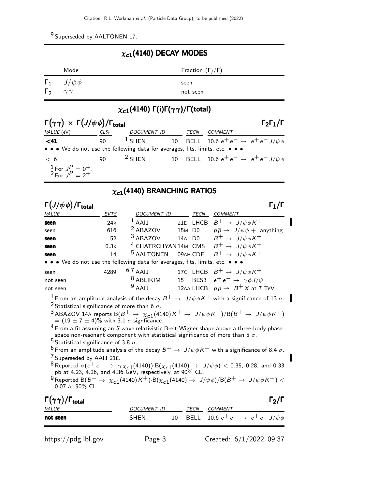9 Superseded by AALTONEN 17.

#### $\chi_{c1}(4140)$  DECAY MODES

|              | Mode                     | Fraction $(\Gamma_i/\Gamma)$ |
|--------------|--------------------------|------------------------------|
|              | $\Gamma_1$ $J/\psi \phi$ | seen                         |
| $\Gamma_{2}$ | $\gamma \gamma$          | not seen                     |

## $\chi_{c1}(4140)$  Γ(i)Γ $(\gamma\gamma)/$ Γ(total)

| $\Gamma(\gamma\gamma) \times \Gamma(J/\psi\phi)/\Gamma_{\text{total}}$        |     |                                                                        |  |      |                                                      | $\Gamma_2\Gamma_1/\Gamma$ |
|-------------------------------------------------------------------------------|-----|------------------------------------------------------------------------|--|------|------------------------------------------------------|---------------------------|
| <i>VALUE</i> (eV)                                                             | CL% | DOCUMENT ID                                                            |  | TECN | <b>COMMENT</b>                                       |                           |
| $<$ 41                                                                        | 90  | <sup>1</sup> SHEN 10 BELL 10.6 $e^+e^- \rightarrow e^+e^- J/\psi \phi$ |  |      |                                                      |                           |
| • • • We do not use the following data for averages, fits, limits, etc. • • • |     |                                                                        |  |      |                                                      |                           |
| < 6                                                                           | 90  | $2$ SHEN                                                               |  |      | 10 BELL 10.6 $e^+e^- \rightarrow e^+e^- J/\psi \phi$ |                           |
| $\frac{1}{2}$ For $J^P = 0^+$ .<br>$^2$ For $J^P = 2^+$ .                     |     |                                                                        |  |      |                                                      |                           |

# $\chi_{c1}(4140)$  BRANCHING RATIOS

| $\Gamma(J/\psi\phi)/\Gamma_{\rm total}$                                                                                                                                                                                                                                                                                                                                                                                                                                                                                                                                                                                                                                                                                                                                                                                                                                                                                                                                                                                                                                                                                |             |                                    |        |             | $\mathsf{\Gamma}_1/\mathsf{\Gamma}$                                                           |  |
|------------------------------------------------------------------------------------------------------------------------------------------------------------------------------------------------------------------------------------------------------------------------------------------------------------------------------------------------------------------------------------------------------------------------------------------------------------------------------------------------------------------------------------------------------------------------------------------------------------------------------------------------------------------------------------------------------------------------------------------------------------------------------------------------------------------------------------------------------------------------------------------------------------------------------------------------------------------------------------------------------------------------------------------------------------------------------------------------------------------------|-------------|------------------------------------|--------|-------------|-----------------------------------------------------------------------------------------------|--|
| <b>VALUE</b>                                                                                                                                                                                                                                                                                                                                                                                                                                                                                                                                                                                                                                                                                                                                                                                                                                                                                                                                                                                                                                                                                                           | <b>EVTS</b> | DOCUMENT ID                        |        | <b>TECN</b> | <b>COMMENT</b>                                                                                |  |
| seen                                                                                                                                                                                                                                                                                                                                                                                                                                                                                                                                                                                                                                                                                                                                                                                                                                                                                                                                                                                                                                                                                                                   | 24k         | $1$ AAIJ                           |        |             | 21E LHCB $B^+ \rightarrow J/\psi \phi K^+$                                                    |  |
| seen                                                                                                                                                                                                                                                                                                                                                                                                                                                                                                                                                                                                                                                                                                                                                                                                                                                                                                                                                                                                                                                                                                                   | 616         | <sup>2</sup> ABAZOV                | 15M D0 |             | $p\overline{p} \rightarrow J/\psi \phi + \text{anything}$                                     |  |
| seen                                                                                                                                                                                                                                                                                                                                                                                                                                                                                                                                                                                                                                                                                                                                                                                                                                                                                                                                                                                                                                                                                                                   | 52          | $3$ ABAZOV                         |        |             | 14A DO $B^+ \rightarrow J/\psi \phi K^+$                                                      |  |
| seen                                                                                                                                                                                                                                                                                                                                                                                                                                                                                                                                                                                                                                                                                                                                                                                                                                                                                                                                                                                                                                                                                                                   | 0.3k        |                                    |        |             | <sup>4</sup> CHATRCHYAN 14M CMS $B^+ \rightarrow J/\psi \phi K^+$                             |  |
| seen                                                                                                                                                                                                                                                                                                                                                                                                                                                                                                                                                                                                                                                                                                                                                                                                                                                                                                                                                                                                                                                                                                                   | 14          | <sup>5</sup> AALTONEN              |        | 09AH CDF    | $B^+ \rightarrow J/\psi \phi K^+$                                                             |  |
| • • We do not use the following data for averages, fits, limits, etc. • • •                                                                                                                                                                                                                                                                                                                                                                                                                                                                                                                                                                                                                                                                                                                                                                                                                                                                                                                                                                                                                                            |             |                                    |        |             |                                                                                               |  |
| seen<br>not seen                                                                                                                                                                                                                                                                                                                                                                                                                                                                                                                                                                                                                                                                                                                                                                                                                                                                                                                                                                                                                                                                                                       | 4289        | $6,7$ AAIJ<br><sup>8</sup> ABLIKIM |        |             | 17C LHCB $B^+ \rightarrow J/\psi \phi K^+$<br>15 BES3 $e^+e^- \rightarrow \gamma \phi J/\psi$ |  |
| not seen                                                                                                                                                                                                                                                                                                                                                                                                                                                                                                                                                                                                                                                                                                                                                                                                                                                                                                                                                                                                                                                                                                               |             | $9$ AAIJ                           |        |             | 12AA LHCB $pp \rightarrow B^+ X$ at 7 TeV                                                     |  |
| $^1$ From an amplitude analysis of the decay $B^+ \to \ J/\psi \phi K^+$ with a significance of 13 $\sigma$ .<br><sup>2</sup> Statistical significance of more than 6 $\sigma$ .<br><sup>3</sup> ABAZOV 14A reports B $(B^+ \to \chi_{c1}(4140)K^+ \to J/\psi \phi K^+)/B(B^+ \to J/\psi \phi K^+)$<br>= $(19 \pm 7 \pm 4)\%$ with 3.1 $\sigma$ signficance.<br>$^4$ From a fit assuming an S-wave relativistic Breit-Wigner shape above a three-body phase-<br>space non-resonant component with statistical significance of more than 5 $\sigma$ .<br><sup>5</sup> Statistical significance of 3.8 $\sigma$ .<br>$^6$ From an amplitude analysis of the decay $B^+ \to \ J/\psi \phi K^+$ with a significance of 8.4 $\sigma$ .<br><sup>7</sup> Superseded by AAIJ 21E.<br>${}^{8}$ Reported $\sigma(e^+e^- \to \gamma \chi_{c1}(4140)) \cdot B(\chi_{c1}(4140) \to J/\psi \phi) < 0.35$ , 0.28, and 0.33 pb at 4.23, 4.26, and 4.36 GeV, respectively, at 90% CL.<br>$^9$ Reported B( $B^+ \to \chi_{c1}(4140)K^+$ )·B( $\chi_{c1}(4140) \to J/\psi \phi)/$ B( $B^+ \to J/\psi \phi K^+$ ) $<$<br>$0.07$ at 90% CL. |             |                                    |        |             |                                                                                               |  |
| $\Gamma(\gamma\gamma)/\Gamma_{\rm total}$<br><b>VALUE</b>                                                                                                                                                                                                                                                                                                                                                                                                                                                                                                                                                                                                                                                                                                                                                                                                                                                                                                                                                                                                                                                              |             | <b>DOCUMENT ID</b>                 |        | TECN        | $\mathsf{\Gamma}_2/\mathsf{\Gamma}$<br><b>COMMENT</b>                                         |  |
| not seen                                                                                                                                                                                                                                                                                                                                                                                                                                                                                                                                                                                                                                                                                                                                                                                                                                                                                                                                                                                                                                                                                                               |             | <b>SHEN</b>                        | 10     | <b>BELL</b> | 10.6 $e^+e^- \rightarrow e^+e^- J/\psi \phi$                                                  |  |

https://pdg.lbl.gov Page 3 Created: 6/1/2022 09:37